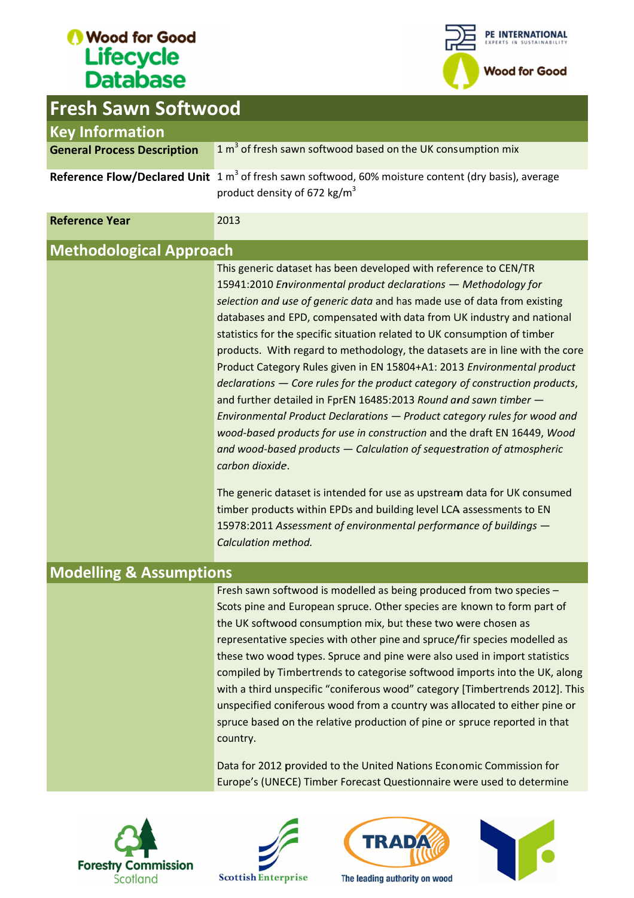Fresh Sawn



| <b>Fresh Sawn Softwood</b>         |                                                                                                                                                                                                                                                                                                                                                                                                                                                                                                                                                                                                                                                                                                                                                                                                                                                                                                                                                                                                                                                                                                 |
|------------------------------------|-------------------------------------------------------------------------------------------------------------------------------------------------------------------------------------------------------------------------------------------------------------------------------------------------------------------------------------------------------------------------------------------------------------------------------------------------------------------------------------------------------------------------------------------------------------------------------------------------------------------------------------------------------------------------------------------------------------------------------------------------------------------------------------------------------------------------------------------------------------------------------------------------------------------------------------------------------------------------------------------------------------------------------------------------------------------------------------------------|
| <b>Key Information</b>             |                                                                                                                                                                                                                                                                                                                                                                                                                                                                                                                                                                                                                                                                                                                                                                                                                                                                                                                                                                                                                                                                                                 |
| <b>General Process Description</b> | 1 m <sup>3</sup> of fresh sawn softwood based on the UK consumption mix                                                                                                                                                                                                                                                                                                                                                                                                                                                                                                                                                                                                                                                                                                                                                                                                                                                                                                                                                                                                                         |
|                                    | Reference Flow/Declared Unit $1 m3$ of fresh sawn softwood, 60% moisture content (dry basis), average<br>product density of 672 kg/m <sup>3</sup>                                                                                                                                                                                                                                                                                                                                                                                                                                                                                                                                                                                                                                                                                                                                                                                                                                                                                                                                               |
| <b>Reference Year</b>              | 2013                                                                                                                                                                                                                                                                                                                                                                                                                                                                                                                                                                                                                                                                                                                                                                                                                                                                                                                                                                                                                                                                                            |
| <b>Methodological Approach</b>     |                                                                                                                                                                                                                                                                                                                                                                                                                                                                                                                                                                                                                                                                                                                                                                                                                                                                                                                                                                                                                                                                                                 |
|                                    | This generic dataset has been developed with reference to CEN/TR<br>15941:2010 Environmental product declarations - Methodology for<br>selection and use of generic data and has made use of data from existing<br>databases and EPD, compensated with data from UK industry and national<br>statistics for the specific situation related to UK consumption of timber<br>products. With regard to methodology, the datasets are in line with the core<br>Product Category Rules given in EN 15804+A1: 2013 Environmental product<br>declarations - Core rules for the product category of construction products,<br>and further detailed in FprEN 16485:2013 Round and sawn timber -<br>Environmental Product Declarations - Product category rules for wood and<br>wood-based products for use in construction and the draft EN 16449, Wood<br>and wood-based products $-$ Calculation of sequestration of atmospheric<br>carbon dioxide.<br>The generic dataset is intended for use as upstream data for UK consumed<br>timber products within EPDs and building level LCA assessments to EN |
|                                    | 15978:2011 Assessment of environmental performance of buildings -<br>Calculation method.                                                                                                                                                                                                                                                                                                                                                                                                                                                                                                                                                                                                                                                                                                                                                                                                                                                                                                                                                                                                        |
|                                    |                                                                                                                                                                                                                                                                                                                                                                                                                                                                                                                                                                                                                                                                                                                                                                                                                                                                                                                                                                                                                                                                                                 |
| <b>Modelling &amp; Assumptions</b> | Fresh sawn softwood is modelled as being produced from two species -                                                                                                                                                                                                                                                                                                                                                                                                                                                                                                                                                                                                                                                                                                                                                                                                                                                                                                                                                                                                                            |
|                                    | Scots pine and European spruce. Other species are known to form part of<br>the UK softwood consumption mix, but these two were chosen as<br>representative species with other pine and spruce/fir species modelled as<br>these two wood types. Spruce and pine were also used in import statistics<br>compiled by Timbertrends to categorise softwood imports into the UK, along<br>with a third unspecific "coniferous wood" category [Timbertrends 2012]. This<br>unspecified coniferous wood from a country was allocated to either pine or<br>spruce based on the relative production of pine or spruce reported in that<br>country.                                                                                                                                                                                                                                                                                                                                                                                                                                                        |
|                                    | Data for 2012 provided to the United Nations Economic Commission for<br>Europe's (UNECE) Timber Forecast Questionnaire were used to determine                                                                                                                                                                                                                                                                                                                                                                                                                                                                                                                                                                                                                                                                                                                                                                                                                                                                                                                                                   |

#### Modelling & Assumptions Modelling







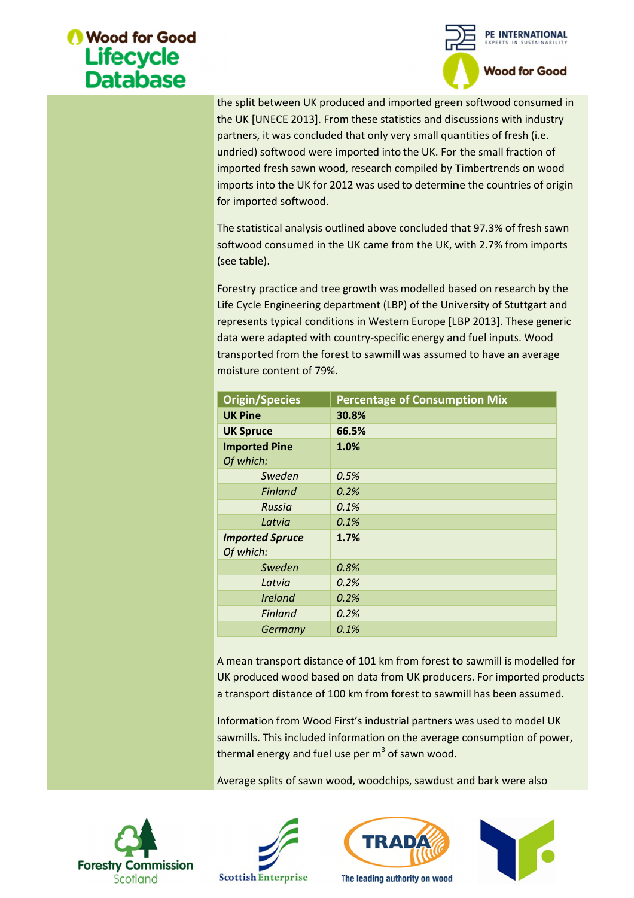

| for imported softwood.<br>(see table).                             | the split between UK produced and imported green softwood consumed in<br>the UK [UNECE 2013]. From these statistics and discussions with industry<br>partners, it was concluded that only very small quantities of fresh (i.e.<br>undried) softwood were imported into the UK. For the small fraction of<br>imported fresh sawn wood, research compiled by Timbertrends on wood<br>imports into the UK for 2012 was used to determine the countries of origin<br>The statistical analysis outlined above concluded that 97.3% of fresh sawn<br>softwood consumed in the UK came from the UK, with 2.7% from imports<br>Forestry practice and tree growth was modelled based on research by the<br>Life Cycle Engineering department (LBP) of the University of Stuttgart and |  |  |  |
|--------------------------------------------------------------------|------------------------------------------------------------------------------------------------------------------------------------------------------------------------------------------------------------------------------------------------------------------------------------------------------------------------------------------------------------------------------------------------------------------------------------------------------------------------------------------------------------------------------------------------------------------------------------------------------------------------------------------------------------------------------------------------------------------------------------------------------------------------------|--|--|--|
|                                                                    | represents typical conditions in Western Europe [LBP 2013]. These generic                                                                                                                                                                                                                                                                                                                                                                                                                                                                                                                                                                                                                                                                                                    |  |  |  |
|                                                                    | data were adapted with country-specific energy and fuel inputs. Wood                                                                                                                                                                                                                                                                                                                                                                                                                                                                                                                                                                                                                                                                                                         |  |  |  |
|                                                                    | transported from the forest to sawmill was assumed to have an average                                                                                                                                                                                                                                                                                                                                                                                                                                                                                                                                                                                                                                                                                                        |  |  |  |
| moisture content of 79%.                                           |                                                                                                                                                                                                                                                                                                                                                                                                                                                                                                                                                                                                                                                                                                                                                                              |  |  |  |
|                                                                    |                                                                                                                                                                                                                                                                                                                                                                                                                                                                                                                                                                                                                                                                                                                                                                              |  |  |  |
| <b>Origin/Species</b>                                              | <b>Percentage of Consumption Mix</b>                                                                                                                                                                                                                                                                                                                                                                                                                                                                                                                                                                                                                                                                                                                                         |  |  |  |
| <b>UK Pine</b>                                                     | 30.8%                                                                                                                                                                                                                                                                                                                                                                                                                                                                                                                                                                                                                                                                                                                                                                        |  |  |  |
| <b>UK Spruce</b>                                                   | 66.5%                                                                                                                                                                                                                                                                                                                                                                                                                                                                                                                                                                                                                                                                                                                                                                        |  |  |  |
| <b>Imported Pine</b>                                               | 1.0%                                                                                                                                                                                                                                                                                                                                                                                                                                                                                                                                                                                                                                                                                                                                                                         |  |  |  |
| Of which:                                                          |                                                                                                                                                                                                                                                                                                                                                                                                                                                                                                                                                                                                                                                                                                                                                                              |  |  |  |
| Sweden                                                             | 0.5%                                                                                                                                                                                                                                                                                                                                                                                                                                                                                                                                                                                                                                                                                                                                                                         |  |  |  |
| <b>Finland</b>                                                     | 0.2%                                                                                                                                                                                                                                                                                                                                                                                                                                                                                                                                                                                                                                                                                                                                                                         |  |  |  |
| Russia                                                             | 0.1%                                                                                                                                                                                                                                                                                                                                                                                                                                                                                                                                                                                                                                                                                                                                                                         |  |  |  |
| Latvia                                                             | 0.1%                                                                                                                                                                                                                                                                                                                                                                                                                                                                                                                                                                                                                                                                                                                                                                         |  |  |  |
| <b>Imported Spruce</b><br>Of which:                                | 1.7%                                                                                                                                                                                                                                                                                                                                                                                                                                                                                                                                                                                                                                                                                                                                                                         |  |  |  |
| Sweden                                                             | 0.8%                                                                                                                                                                                                                                                                                                                                                                                                                                                                                                                                                                                                                                                                                                                                                                         |  |  |  |
| Latvia                                                             | 0.2%                                                                                                                                                                                                                                                                                                                                                                                                                                                                                                                                                                                                                                                                                                                                                                         |  |  |  |
| <b>Ireland</b>                                                     | 0.2%                                                                                                                                                                                                                                                                                                                                                                                                                                                                                                                                                                                                                                                                                                                                                                         |  |  |  |
| <b>Finland</b>                                                     | 0.2%                                                                                                                                                                                                                                                                                                                                                                                                                                                                                                                                                                                                                                                                                                                                                                         |  |  |  |
| Germany                                                            | 0.1%                                                                                                                                                                                                                                                                                                                                                                                                                                                                                                                                                                                                                                                                                                                                                                         |  |  |  |
|                                                                    | A mean transport distance of 101 km from forest to sawmill is modelled for<br>UK produced wood based on data from UK producers. For imported produc<br>a transport distance of 100 km from forest to sawmill has been assumed.<br>Information from Wood First's industrial partners was used to model UK<br>sawmills. This included information on the average consumption of power,<br>thermal energy and fuel use per m <sup>3</sup> of sawn wood.                                                                                                                                                                                                                                                                                                                         |  |  |  |
| Average splits of sawn wood, woodchips, sawdust and bark were also |                                                                                                                                                                                                                                                                                                                                                                                                                                                                                                                                                                                                                                                                                                                                                                              |  |  |  |







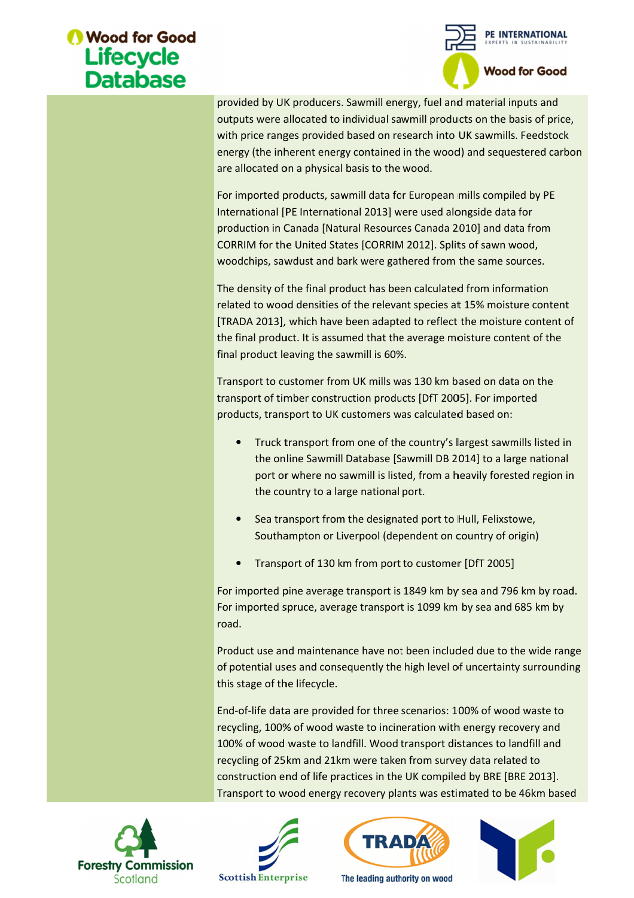

provided by UK producers. Sawmill energy, fuel and material inputs and<br>outputs were allocated to individual sawmill products on the basis of price<br>with price ranges provided based on research into UK sawmills. Feedstock outputs were allocated to individual sawmill products on the basis of price, with price ranges provided based on research into UK sawmills. Feedstock energy (the inherent energy contained in the wood) and sequestered carbon outputs were allocated to individual sawmill poith price ranges provided based on research<br>energy (the inherent energy contained in the<br>are allocated on a physical basis to the wood.

For imported products, sawmill data for European mills compiled by PE International [PE International 2013] were used alongside data for International [PE International 2013] were used alongside data for<br>production in Canada [Natural Resources Canada 2010] and data from CORRIM for the United States [CORRIM 2012]. Splits of sawn wood, woodchips, sawdust and bark were gathered from the same sources. For imported products, sawmill data for European mills compiled by l<br>International [PE International 2013] were used alongside data for<br>production in Canada [Natural Resources Canada 2010] and data fror<br>CORRIM for the Unit to individual sawmill products on the basis of price<br>ded based on research into UK sawmills. Feedstock<br>ergy contained in the wood) and sequestered carbe<br>cal basis to the wood.<br>sawmill data for European mills compiled by PE

The density of the final product has been calculated from information related to wood densities of the relevant species at 15% moisture content related to wood densities of the relevant species at 15% moisture content<br>[TRADA 2013], which have been adapted to reflect the moisture content of the final product. It is assumed that the average moisture content of the final product leaving the sawmill is 60%. provided by UK producers. Sawmill energy, fuel and material inputs and<br>outputs were allocated to individual sawmill products on the basis of price,<br>with price ranges provided based on research into UK sawmills. Feedstock<br>e ich have been adapted to reflect the moisture conter<br>It is assumed that the average moisture content of th<br>ing the sawmill is 60%.<br>pmer from UK mills was 130 km based on data on the the average moisture content of the

final product leaving the sawmill is 60%.<br>Transport to customer from UK mills was 130 km based on data on the transport of timber construction products [DfT 2005]. For imported products, transport to UK customers was calculated based on:

- Truck transport from one of the country's largest sawmills listed in the online Sawmill Database [Sawmill DB 2014] to a large national port or where no sawmill is listed, from a heavily forested region in the country to a large national port. Transport to customer from UK mills was 130 km based on data on the<br>transport of timber construction products [DfT 2005]. For imported<br>products, transport to UK customers was calculated based on:<br>Truck transport from one o • Truck transport from one of the country's largest sawmills listed in<br>the online Sawmill Database [Sawmill DB 2014] to a large national<br>port or where no sawmill is listed, from a heavily forested region in<br>the country to rt to customer from UK mills was 130 km based on data on the<br>t of timber construction products [DfT 2005]. For imported<br>s, transport to UK customers was calculated based on:<br>Truck transport from one of the country's larges
	- Sea transport from the designated port to Hull, Felixstowe, Sea transport from the designated port to Hull, I<br>Southampton or Liverpool (dependent on count
	- Transport of 130 km from port to customer [DfT 2005]

For imported pine average transport is 1849 km by sea and 796 km by road.<br>For imported spruce, average transport is 1099 km by sea and 685 km by<br>road.<br>Product use and maintenance have not been included due to the wide rang For imported spruce, average transport is 1099 km by sea and 685 km by road. ndent on country of<br>customer [DfT 20<br>349 km by sea and<br>i 1099 km by sea a<br>een included due<br>gh level of uncerta<br>enarios: 100% of v<br>ation with energy

Product use and maintenance have not been included due to the wide range of potential uses and consequently the high level of uncertainty surrounding this stage of the lifecycle. road.<br>Product use and maintenance have not been included due to the wide range<br>of potential uses and consequently the high level of uncertainty surrounding<br>this stage of the lifecycle. ntial uses and consequently the high level of uncertainty surround<br>ge of the lifecycle.<br>life data are provided for three scenarios: 100% of wood waste to Product use and maintenance have not been included due to the wide ra<br>of potential uses and consequently the high level of uncertainty surround<br>this stage of the lifecycle.<br>End-of-life data are provided for three scenarios

End End-of-life data are provided for three scenarios: 100% of wood waste to recycling, 100% of wood waste to incineration with energy recovery and 100% of wood waste to landfill. Wood transport distances to landfill and 100% of wood waste to landfill. Wood transport distances to landfill<br>recycling of 25km and 21km were taken from survey data related to construction end of life practices in the UK compiled by BRE [BRE 2013]. construction end of life practices in the UK compiled by BRE [BRE 2013].<br>Transport to wood energy recovery plants was estimated to be 46km based recyclied by UK producers. Sawmill energy, theil and material inputs and<br>totythis were allocated to individual sawmill products on the basis of prior<br>with price ranges provided based on research into UK sawmills. Fedstoc<br>e this stage of the lifecycle.<br>End-of-life data are provided for three scenarios: 100% of wood waste<br>recycling, 100% of wood waste to incineration with energy recovery an provided by UK producers. Sawmill energy, thel and material inputs and<br>notigity with give the and meterial inputs and more than the state of price<br>with price ranges provided based on research into UK sawmills. Feedstock<br>en d waste to landfill. Wood transport distances to landfill and<br>5km and 21km were taken from survey data related to<br>end of life practices in the UK compiled by BRE [BRE 2013].<br>wood energy recovery plants was estimated to be ie inherent energy contained in the wood) and sequestered carbon<br>
ted on a physical basis to the wood.<br>
ted products, sawwill diat for European mills compiled by PE<br>
ted products, sawwill diat for European mills compiled b







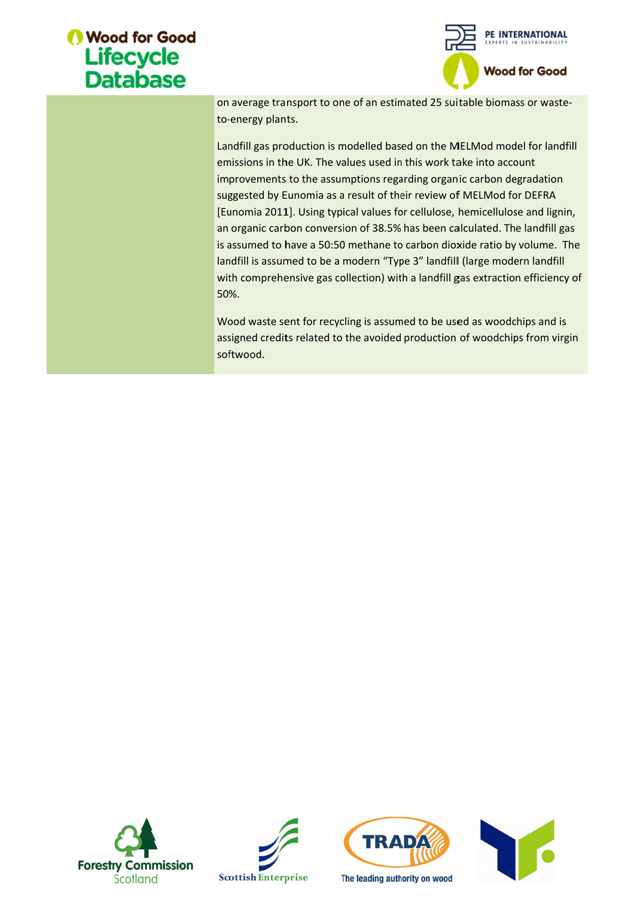



on average transport to one of an estimated 25 suitable biomass or wasteto--energy plants.

Landfill gas production is modelled based on the MELMod model for landfill emissions in the UK. The values used in this work take into account improvements to the assumptions regarding organic carbon degradation suggested by Eunomia as a result of their review of MELMod for DEFRA [Eunomia 2011]. Using typical values for cellulose, hemicellulose and lignin, Landfill gas production is modelled based on the MELMod model for landfill<br>emissions in the UK. The values used in this work take into account<br>improvements to the assumptions regarding organic carbon degradation<br>suggested is assumed to have a 50:50 methane to carbon dioxide ratio by volume. The landfill is assumed to be a modern "Type 3" landfill (large modern landfill with comprehensive gas collection) with a landfill gas extraction efficiency of 50%. to-energy plants.<br>
Landfill gas production is modelled based on the MELMod model for landfill<br>
emissions in the UK. The values used in this work take into account<br>
improvements to the assumptions regarding organic carbon d emissions in the UK. The values used in this work take into account<br>improvements to the assumptions regarding organic carbon degradation<br>suggested by Eunomia as a result of their review of MELMod for DEFRA<br>[Eunomia 2011]. bather one of an estimated 25 suitable biomass or v<br>is modelled based on the MELMod model for<br>e values used in this work take into account<br>ssumptions regarding organic carbon degrada<br>as a result of their review of MELMod f on average transport to one of an estimated 25 suitable biomass or waste-<br>to-energy plants.<br>Landfill gas production is modelled based on the MELMod model for landfill<br>emissions in the UK. The values used in this work take ia 2011]. Using typical values for cellulose, hemicellulose and lignin,<br>nic carbon conversion of 38.5% has been calculated. The landfill gas<br>ned to have a 50:50 methane to carbon dioxide ratio by volume. The<br>is assumed to

Wood waste sent for recycling is assumed to be used as woodchips and is Wood waste sent for recycling is assumed to be used as woodchips and is<br>assigned credits related to the avoided production of woodchips from virgin softwood.







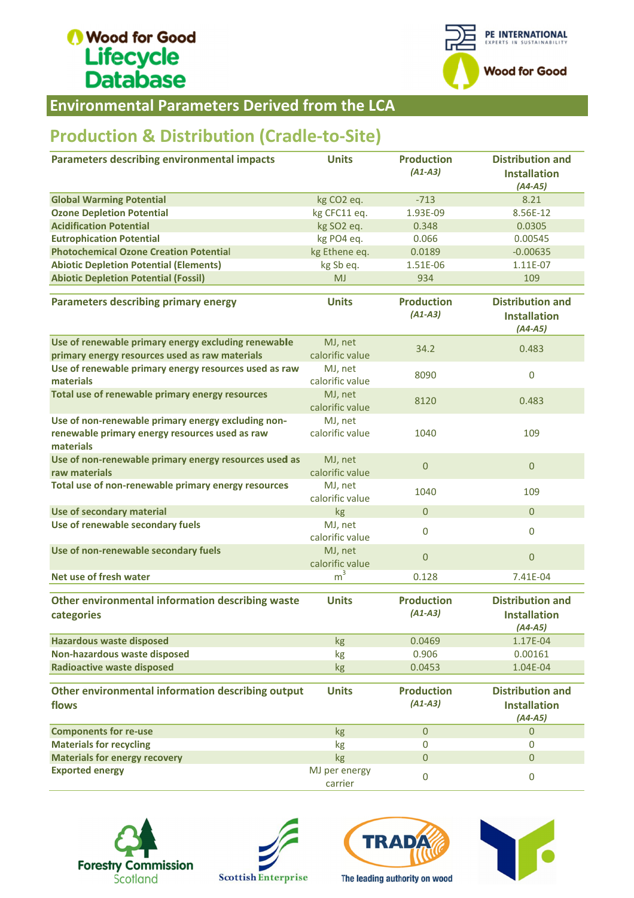

Environmental Parameters Derived from the LCA

### **Production & Distribution (Cradle-to-Site)**

| <b>Environmental Parameters Derived from the LCA</b>                                                              |                            |                                |                                                             |
|-------------------------------------------------------------------------------------------------------------------|----------------------------|--------------------------------|-------------------------------------------------------------|
| <b>Production &amp; Distribution (Cradle-to-Site)</b>                                                             |                            |                                |                                                             |
| <b>Parameters describing environmental impacts</b>                                                                | <b>Units</b>               | <b>Production</b><br>$(A1-A3)$ | <b>Distribution and</b><br><b>Installation</b><br>$(A4-A5)$ |
| <b>Global Warming Potential</b>                                                                                   | kg CO <sub>2</sub> eq.     | $-713$                         | 8.21                                                        |
| <b>Ozone Depletion Potential</b>                                                                                  | kg CFC11 eq.               | 1.93E-09                       | 8.56E-12                                                    |
| <b>Acidification Potential</b>                                                                                    | kg SO2 eq.                 | 0.348                          | 0.0305                                                      |
| <b>Eutrophication Potential</b>                                                                                   | kg PO4 eq.                 | 0.066                          | 0.00545                                                     |
| <b>Photochemical Ozone Creation Potential</b>                                                                     | kg Ethene eq.              | 0.0189                         | $-0.00635$                                                  |
| <b>Abiotic Depletion Potential (Elements)</b>                                                                     | kg Sb eq.                  | 1.51E-06                       | 1.11E-07                                                    |
| <b>Abiotic Depletion Potential (Fossil)</b>                                                                       | <b>MJ</b>                  | 934                            | 109                                                         |
| <b>Parameters describing primary energy</b>                                                                       | <b>Units</b>               | <b>Production</b><br>$(A1-A3)$ | <b>Distribution and</b><br><b>Installation</b><br>$(A4-A5)$ |
| Use of renewable primary energy excluding renewable<br>primary energy resources used as raw materials             | MJ, net<br>calorific value | 34.2                           | 0.483                                                       |
| Use of renewable primary energy resources used as raw<br>materials                                                | MJ, net<br>calorific value | 8090                           | $\pmb{0}$                                                   |
| Total use of renewable primary energy resources                                                                   | MJ, net<br>calorific value | 8120                           | 0.483                                                       |
| Use of non-renewable primary energy excluding non-<br>renewable primary energy resources used as raw<br>materials | MJ, net<br>calorific value | 1040                           | 109                                                         |
| Use of non-renewable primary energy resources used as<br>raw materials                                            | MJ, net<br>calorific value | $\overline{0}$                 | $\overline{0}$                                              |
| Total use of non-renewable primary energy resources                                                               | MJ, net<br>calorific value | 1040                           | 109                                                         |
| Use of secondary material                                                                                         | kg                         | $\mathbf{0}$                   | $\overline{0}$                                              |
| Use of renewable secondary fuels                                                                                  | MJ, net<br>calorific value | $\bf{0}$                       | $\mathbf 0$                                                 |
| Use of non-renewable secondary fuels                                                                              | MJ, net<br>calorific value | $\mathbf 0$                    | $\overline{0}$                                              |
| Net use of fresh water                                                                                            | m <sup>3</sup>             | 0.128                          | 7.41E-04                                                    |
| Other environmental information describing waste<br>categories                                                    | <b>Units</b>               | <b>Production</b><br>$(A1-A3)$ | <b>Distribution and</b><br><b>Installation</b><br>$(A4-A5)$ |
| <b>Hazardous waste disposed</b>                                                                                   | kg                         | 0.0469                         | 1.17E-04                                                    |
| Non-hazardous waste disposed                                                                                      | kg                         | 0.906                          | 0.00161                                                     |
| <b>Radioactive waste disposed</b>                                                                                 | kg                         | 0.0453                         | 1.04E-04                                                    |
| Other environmental information describing output<br>flows                                                        | <b>Units</b>               | <b>Production</b><br>$(A1-A3)$ | <b>Distribution and</b><br><b>Installation</b><br>$(A4-A5)$ |
| <b>Components for re-use</b>                                                                                      | kg                         | $\mathbf{0}$                   | $\mathbf{0}$                                                |
| <b>Materials for recycling</b>                                                                                    | kg                         | $\mathbf 0$                    | 0                                                           |
| <b>Materials for energy recovery</b>                                                                              | kg                         | 0                              | $\overline{0}$                                              |
| <b>Exported energy</b>                                                                                            | MJ per energy<br>carrier   | $\pmb{0}$                      | $\pmb{0}$                                                   |







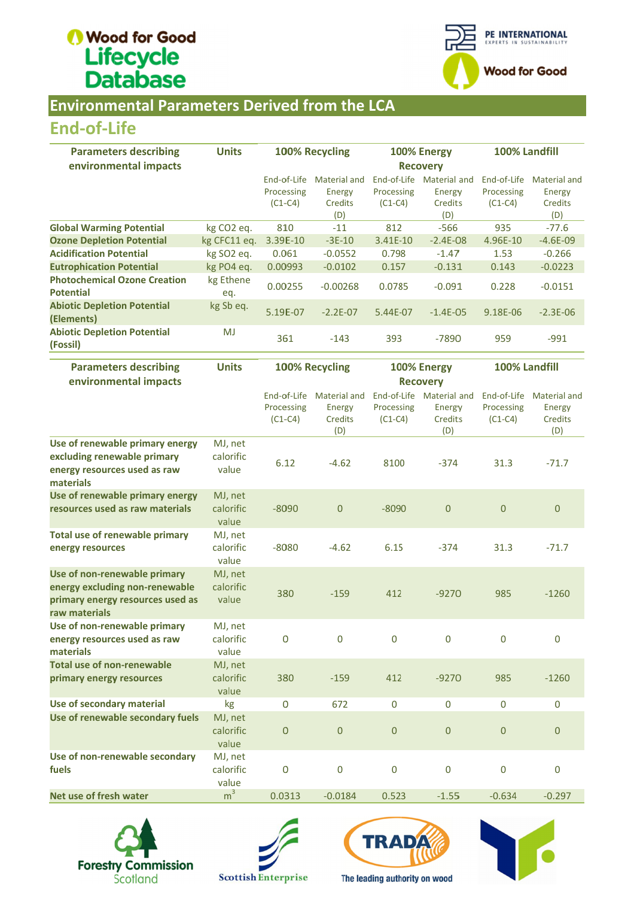

#### **Environmental Parameters Derived from the LCA**

#### End End-of-Life

| <b>Parameters describing</b>                            | <b>Units</b>           |                 | 100% Recycling | 100% Energy |              | 100% Landfill |                     |
|---------------------------------------------------------|------------------------|-----------------|----------------|-------------|--------------|---------------|---------------------|
| environmental impacts                                   |                        | <b>Recovery</b> |                |             |              |               |                     |
|                                                         |                        | End-of-Life     | Material and   | End-of-Life | Material and | End-of-Life   | <b>Material and</b> |
|                                                         |                        | Processing      | Energy         | Processing  | Energy       | Processing    | Energy              |
|                                                         |                        | $(C1-C4)$       | Credits        | $(C1-C4)$   | Credits      | $(C1-C4)$     | Credits             |
|                                                         |                        |                 | (D)            |             | (D)          |               | (D)                 |
| <b>Global Warming Potential</b>                         | kg CO <sub>2</sub> eq. | 810             | $-11$          | 812         | $-566$       | 935           | $-77.6$             |
| <b>Ozone Depletion Potential</b>                        | kg CFC11 eq.           | 3.39E-10        | $-3E-10$       | 3.41E-10    | $-2.4E-08$   | 4.96E-10      | $-4.6E-09$          |
| <b>Acidification Potential</b>                          | kg SO <sub>2</sub> eq. | 0.061           | $-0.0552$      | 0.798       | $-1.47$      | 1.53          | $-0.266$            |
| <b>Eutrophication Potential</b>                         | kg PO4 eq.             | 0.00993         | $-0.0102$      | 0.157       | $-0.131$     | 0.143         | $-0.0223$           |
| <b>Photochemical Ozone Creation</b><br><b>Potential</b> | kg Ethene<br>eq.       | 0.00255         | $-0.00268$     | 0.0785      | $-0.091$     | 0.228         | $-0.0151$           |
| <b>Abiotic Depletion Potential</b><br>(Elements)        | kg Sb eq.              | 5.19E-07        | $-2.2E-07$     | 5.44E-07    | $-1.4E - 05$ | 9.18E-06      | $-2.3E - 06$        |
| <b>Abiotic Depletion Potential</b><br>(Fossil)          | <b>MJ</b>              | 361             | $-143$         | 393         | $-7890$      | 959           | $-991$              |

| <b>End-of-Life</b>                                                                                                  |                               |                                        |                                                 |                                |                                                      |                                        |                                                               |
|---------------------------------------------------------------------------------------------------------------------|-------------------------------|----------------------------------------|-------------------------------------------------|--------------------------------|------------------------------------------------------|----------------------------------------|---------------------------------------------------------------|
| <b>Parameters describing</b><br>environmental impacts                                                               | <b>Units</b>                  |                                        | 100% Recycling                                  | 100% Energy<br><b>Recovery</b> |                                                      | 100% Landfill                          |                                                               |
|                                                                                                                     |                               | End-of-Life<br>Processing<br>$(C1-C4)$ | <b>Material and</b><br>Energy<br>Credits<br>(D) | Processing<br>$(C1-C4)$        | End-of-Life Material and<br>Energy<br>Credits<br>(D) | End-of-Life<br>Processing<br>$(C1-C4)$ | <b>Material and</b><br>Energy<br>Credits<br>(D)               |
| <b>Global Warming Potential</b>                                                                                     | kg CO <sub>2</sub> eq.        | 810                                    | $-11$                                           | 812                            | $-566$                                               | 935                                    | $-77.6$                                                       |
| <b>Ozone Depletion Potential</b>                                                                                    | kg CFC11 eq.                  | 3.39E-10                               | $-3E-10$                                        | 3.41E-10                       | $-2.4E-08$                                           | 4.96E-10                               | $-4.6E-09$                                                    |
| <b>Acidification Potential</b>                                                                                      | kg SO2 eq.                    | 0.061                                  | $-0.0552$                                       | 0.798                          | $-1.47$                                              | 1.53                                   | $-0.266$                                                      |
| <b>Eutrophication Potential</b>                                                                                     | kg PO4 eq.                    | 0.00993                                | $-0.0102$                                       | 0.157                          | $-0.131$                                             | 0.143                                  | $-0.0223$                                                     |
| <b>Photochemical Ozone Creation</b><br><b>Potential</b>                                                             | kg Ethene<br>eq.              | 0.00255                                | $-0.00268$                                      | 0.0785                         | $-0.091$                                             | 0.228                                  | $-0.0151$                                                     |
| <b>Abiotic Depletion Potential</b><br>(Elements)                                                                    | kg Sb eq.                     | 5.19E-07                               | $-2.2E-07$                                      | 5.44E-07                       | $-1.4E-05$                                           | 9.18E-06                               | $-2.3E-06$                                                    |
| <b>Abiotic Depletion Potential</b><br>(Fossil)                                                                      | <b>MJ</b>                     | 361                                    | $-143$                                          | 393                            | $-7890$                                              | 959                                    | $-991$                                                        |
| <b>Parameters describing</b><br>environmental impacts                                                               | <b>Units</b>                  | 100% Recycling                         |                                                 | 100% Energy<br><b>Recovery</b> |                                                      | 100% Landfill                          |                                                               |
|                                                                                                                     |                               | End-of-Life<br>Processing<br>$(C1-C4)$ | <b>Material and</b><br>Energy<br>Credits<br>(D) | Processing<br>$(C1-C4)$        | End-of-Life Material and<br>Energy<br>Credits<br>(D) | End-of-Life<br>Processing<br>$(C1-C4)$ | <b>Material and</b><br><b>Energy</b><br><b>Credits</b><br>(D) |
| Use of renewable primary energy<br>excluding renewable primary<br>energy resources used as raw<br>materials         | MJ, net<br>calorific<br>value | 6.12                                   | $-4.62$                                         | 8100                           | $-374$                                               | 31.3                                   | $-71.7$                                                       |
| Use of renewable primary energy<br>resources used as raw materials                                                  | MJ, net<br>calorific<br>value | $-8090$                                | $\overline{0}$                                  | $-8090$                        | $\mathbf{0}$                                         | $\mathbf 0$                            | $\mathbf{0}$                                                  |
| <b>Total use of renewable primary</b><br>energy resources                                                           | MJ, net<br>calorific<br>value | $-8080$                                | $-4.62$                                         | 6.15                           | $-374$                                               | 31.3                                   | $-71.7$                                                       |
| Use of non-renewable primary<br>energy excluding non-renewable<br>primary energy resources used as<br>raw materials | MJ, net<br>calorific<br>value | 380                                    | $-159$                                          | 412                            | $-9270$                                              | 985                                    | $-1260$                                                       |
| Use of non-renewable primary<br>energy resources used as raw<br>materials                                           | MJ, net<br>calorific<br>value | 0                                      | $\mathbf 0$                                     | $\mathbf 0$                    | $\overline{0}$                                       | $\mathbf 0$                            | $\mathbf 0$                                                   |
| <b>Total use of non-renewable</b><br>primary energy resources                                                       | MJ, net<br>calorific<br>value | 380                                    | $-159$                                          | 412                            | $-9270$                                              | 985                                    | $-1260$                                                       |
| Use of secondary material                                                                                           | kg                            | 0                                      | 672                                             | 0                              | 0                                                    | $\bf{0}$                               | 0                                                             |
| Use of renewable secondary fuels                                                                                    | MJ, net<br>calorific<br>value | $\mathsf{O}\xspace$                    | $\mathbf{0}$                                    | $\boldsymbol{0}$               | $\boldsymbol{0}$                                     | $\boldsymbol{0}$                       | $\boldsymbol{0}$                                              |
| Use of non-renewable secondary<br>fuels                                                                             | MJ, net<br>calorific<br>value | $\mathsf{O}\xspace$                    | $\mathbf 0$                                     | $\boldsymbol{0}$               | 0                                                    | $\mathbf 0$                            | 0                                                             |
| Net use of fresh water                                                                                              | m <sup>3</sup>                | 0.0313                                 | $-0.0184$                                       | 0.523                          | $-1.55$                                              | $-0.634$                               | $-0.297$                                                      |









The leading authority on wood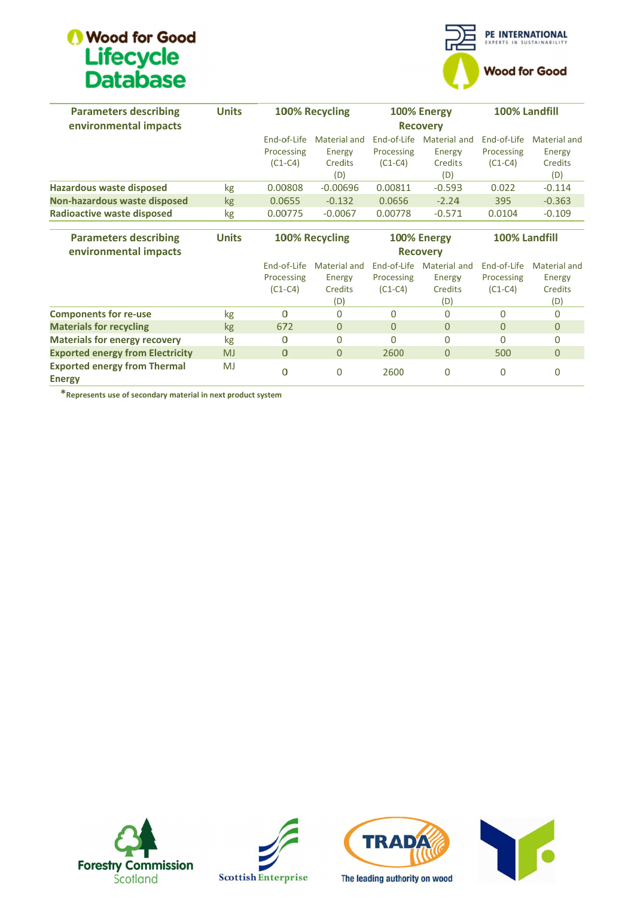

| <b>Parameters describing</b>                                 | <b>Units</b> |             | <b>100% Recycling</b> | 100% Energy |                 | 100% Landfill |                |
|--------------------------------------------------------------|--------------|-------------|-----------------------|-------------|-----------------|---------------|----------------|
| environmental impacts                                        |              |             |                       |             |                 |               |                |
|                                                              |              | End-of-Life | Material and          | End-of-Life | Material and    | End-of-Life   | Material and   |
|                                                              |              | Processing  | Energy                | Processing  | Energy          | Processing    | Energy         |
|                                                              |              | $(C1-C4)$   | <b>Credits</b>        | $(C1-C4)$   | Credits         | $(C1-C4)$     | <b>Credits</b> |
|                                                              |              |             | (D)                   |             | (D)             |               | (D)            |
| <b>Hazardous waste disposed</b>                              | kg           | 0.00808     | $-0.00696$            | 0.00811     | $-0.593$        | 0.022         | $-0.114$       |
| Non-hazardous waste disposed                                 | <b>kg</b>    | 0.0655      | $-0.132$              | 0.0656      | $-2.24$         | 395           | $-0.363$       |
| Radioactive waste disposed                                   | kg           | 0.00775     | $-0.0067$             | 0.00778     | $-0.571$        | 0.0104        | $-0.109$       |
|                                                              |              |             |                       |             |                 |               |                |
| <b>Parameters describing</b>                                 | <b>Units</b> |             | 100% Recycling        |             | 100% Energy     | 100% Landfill |                |
| environmental impacts                                        |              |             |                       |             | <b>Recovery</b> |               |                |
|                                                              |              | End-of-Life | Material and          | End-of-Life | Material and    | End-of-Life   | Material and   |
|                                                              |              | Processing  | Energy                | Processing  | Energy          | Processing    | Energy         |
|                                                              |              | $(C1-C4)$   | Credits               | $(C1-C4)$   | <b>Credits</b>  | $(C1-C4)$     | Credits        |
|                                                              |              |             | (D)                   |             | (D)             |               | (D)            |
| <b>Components for re-use</b>                                 | kg           | $\Omega$    | $\Omega$              | 0           | 0               | $\Omega$      | $\Omega$       |
| <b>Materials for recycling</b>                               | kg           | 672         | $\Omega$              | $\Omega$    | $\Omega$        | $\Omega$      | $\Omega$       |
| <b>Materials for energy recovery</b>                         | kg           | 0           | $\Omega$              | 0           | $\Omega$        | 0             | $\Omega$       |
| <b>Exported energy from Electricity</b>                      | <b>MJ</b>    | $\Omega$    | $\Omega$              | 2600        | $\Omega$        | 500           | $\Omega$       |
| <b>Exported energy from Thermal</b>                          | MJ           | 0           |                       |             | 0               | 0             |                |
| <b>Energy</b>                                                |              |             | $\mathbf 0$           | 2600        |                 |               | 0              |
| *Represents use of secondary material in next product system |              |             |                       |             |                 |               |                |

\*Represents use of secondary material in next product system